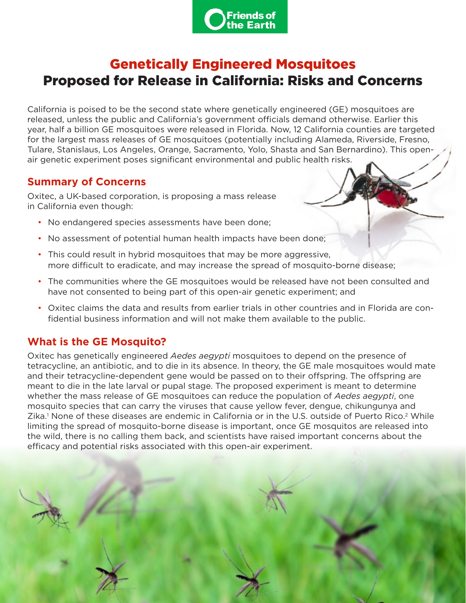

# <span id="page-0-0"></span>Genetically Engineered Mosquitoes Proposed for Release in California: Risks and Concerns

California is poised to be the second state where genetically engineered (GE) mosquitoes are released, unless the public and California's government officials demand otherwise. Earlier this year, half a billion GE mosquitoes were released in Florida. Now, 12 California counties are targeted for the largest mass releases of GE mosquitoes (potentially including Alameda, Riverside, Fresno, Tulare, Stanislaus, Los Angeles, Orange, Sacramento, Yolo, Shasta and San Bernardino). This openair genetic experiment poses significant environmental and public health risks.

#### **Summary of Concerns**

Oxitec, a UK-based corporation, is proposing a mass release in California even though:

- No endangered species assessments have been done;
- No assessment of potential human health impacts have been done;
- This could result in hybrid mosquitoes that may be more aggressive, more difficult to eradicate, and may increase the spread of mosquito-borne disease;
- The communities where the GE mosquitoes would be released have not been consulted and have not consented to being part of this open-air genetic experiment; and
- Oxitec claims the data and results from earlier trials in other countries and in Florida are confidential business information and will not make them available to the public.

## **What is the GE Mosquito?**

Oxitec has genetically engineered *Aedes aegypti* mosquitoes to depend on the presence of tetracycline, an antibiotic, and to die in its absence. In theory, the GE male mosquitoes would mate and their tetracycline-dependent gene would be passed on to their offspring. The offspring are meant to die in the late larval or pupal stage. The proposed experiment is meant to determine whether the mass release of GE mosquitoes can reduce the population of *Aedes aegypti*, one mosquito species that can carry the viruses that cause yellow fever, dengue, chikungunya and Zika.<sup>[1](#page-3-0)</sup> None of these diseases are endemic in California or in the U.S. outside of Puerto Rico.<sup>[2](#page-3-0)</sup> While limiting the spread of mosquito-borne disease is important, once GE mosquitos are released into the wild, there is no calling them back, and scientists have raised important concerns about the efficacy and potential risks associated with this open-air experiment.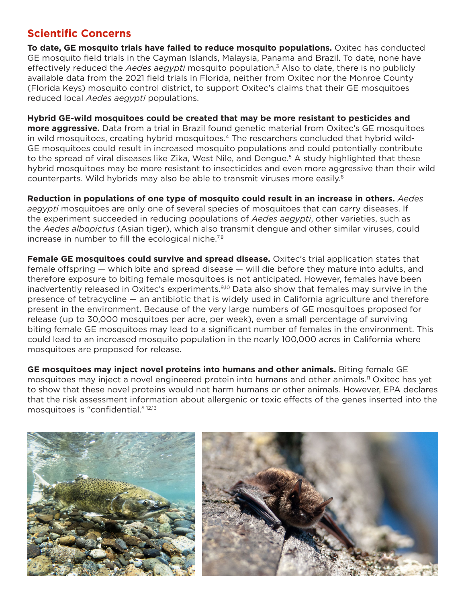#### <span id="page-1-0"></span>**Scientific Concerns**

**To date, GE mosquito trials have failed to reduce mosquito populations.** Oxitec has conducted GE mosquito field trials in the Cayman Islands, Malaysia, Panama and Brazil. To date, none have effectively reduced the *Aedes aegypti* mosquito population.[3](#page-3-0) Also to date, there is no publicly available data from the 2021 field trials in Florida, neither from Oxitec nor the Monroe County (Florida Keys) mosquito control district, to support Oxitec's claims that their GE mosquitoes reduced local *Aedes aegypti* populations.

**Hybrid GE-wild mosquitoes could be created that may be more resistant to pesticides and more aggressive.** Data from a trial in Brazil found genetic material from Oxitec's GE mosquitoes in wild mosquitoes, creating hybrid mosquitoes.<sup>[4](#page-3-0)</sup> The researchers concluded that hybrid wild-GE mosquitoes could result in increased mosquito populations and could potentially contribute to the spread of viral diseases like Zika, West Nile, and Dengue.<sup>[5](#page-3-0)</sup> A study highlighted that these hybrid mosquitoes may be more resistant to insecticides and even more aggressive than their wild counterparts. Wild hybrids may also be able to transmit viruses more easily.[6](#page-3-0)

**Reduction in populations of one type of mosquito could result in an increase in others.** *Aedes aegypti* mosquitoes are only one of several species of mosquitoes that can carry diseases. If the experiment succeeded in reducing populations of *Aedes aegypti*, other varieties, such as the *Aedes albopictus* (Asian tiger), which also transmit dengue and other similar viruses, could increase in number to fill the ecological niche.<sup>[7,8](#page-3-0)</sup>

**Female GE mosquitoes could survive and spread disease.** Oxitec's trial application states that female offspring — which bite and spread disease — will die before they mature into adults, and therefore exposure to biting female mosquitoes is not anticipated. However, females have been inadvertently released in Oxitec's experiments.<sup>[9,10](#page-3-0)</sup> Data also show that females may survive in the presence of tetracycline — an antibiotic that is widely used in California agriculture and therefore present in the environment. Because of the very large numbers of GE mosquitoes proposed for release (up to 30,000 mosquitoes per acre, per week), even a small percentage of surviving biting female GE mosquitoes may lead to a significant number of females in the environment. This could lead to an increased mosquito population in the nearly 100,000 acres in California where mosquitoes are proposed for release.

**GE mosquitoes may inject novel proteins into humans and other animals.** Biting female GE mosquitoes may inject a novel engineered protein into humans and other animals.[11](#page-3-0) Oxitec has yet to show that these novel proteins would not harm humans or other animals. However, EPA declares that the risk assessment information about allergenic or toxic effects of the genes inserted into the mosquitoes is "confidential." [12,13](#page-3-0)

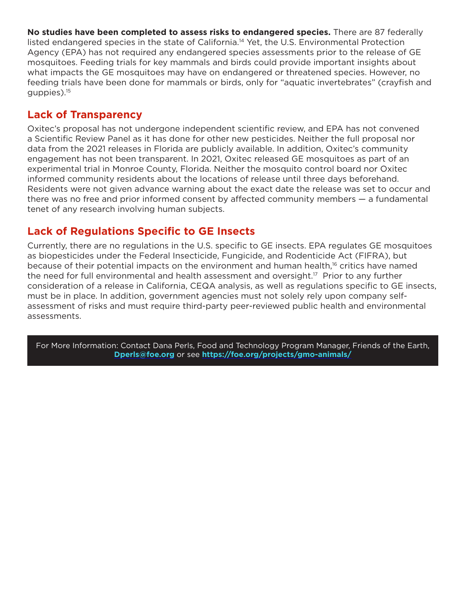<span id="page-2-0"></span>**No studies have been completed to assess risks to endangered species.** There are 87 federally listed endangered species in the state of California.[14](#page-3-0) Yet, the U.S. Environmental Protection Agency (EPA) has not required any endangered species assessments prior to the release of GE mosquitoes. Feeding trials for key mammals and birds could provide important insights about what impacts the GE mosquitoes may have on endangered or threatened species. However, no feeding trials have been done for mammals or birds, only for "aquatic invertebrates" (crayfish and guppies).[15](#page-3-0)

## **Lack of Transparency**

Oxitec's proposal has not undergone independent scientific review, and EPA has not convened a Scientific Review Panel as it has done for other new pesticides. Neither the full proposal nor data from the 2021 releases in Florida are publicly available. In addition, Oxitec's community engagement has not been transparent. In 2021, Oxitec released GE mosquitoes as part of an experimental trial in Monroe County, Florida. Neither the mosquito control board nor Oxitec informed community residents about the locations of release until three days beforehand. Residents were not given advance warning about the exact date the release was set to occur and there was no free and prior informed consent by affected community members — a fundamental tenet of any research involving human subjects.

# **Lack of Regulations Specific to GE Insects**

Currently, there are no regulations in the U.S. specific to GE insects. EPA regulates GE mosquitoes as biopesticides under the Federal Insecticide, Fungicide, and Rodenticide Act (FIFRA), but because of their potential impacts on the environment and human health,<sup>[16](#page-3-0)</sup> critics have named the need for full environmental and health assessment and oversight.<sup>[17](#page-3-0)</sup> Prior to any further consideration of a release in California, CEQA analysis, as well as regulations specific to GE insects, must be in place. In addition, government agencies must not solely rely upon company selfassessment of risks and must require third-party peer-reviewed public health and environmental assessments.

For More Information: Contact Dana Perls, Food and Technology Program Manager, Friends of the Earth, **Dperls@foe.org** or see **https://foe.org/projects/gmo-animals/**